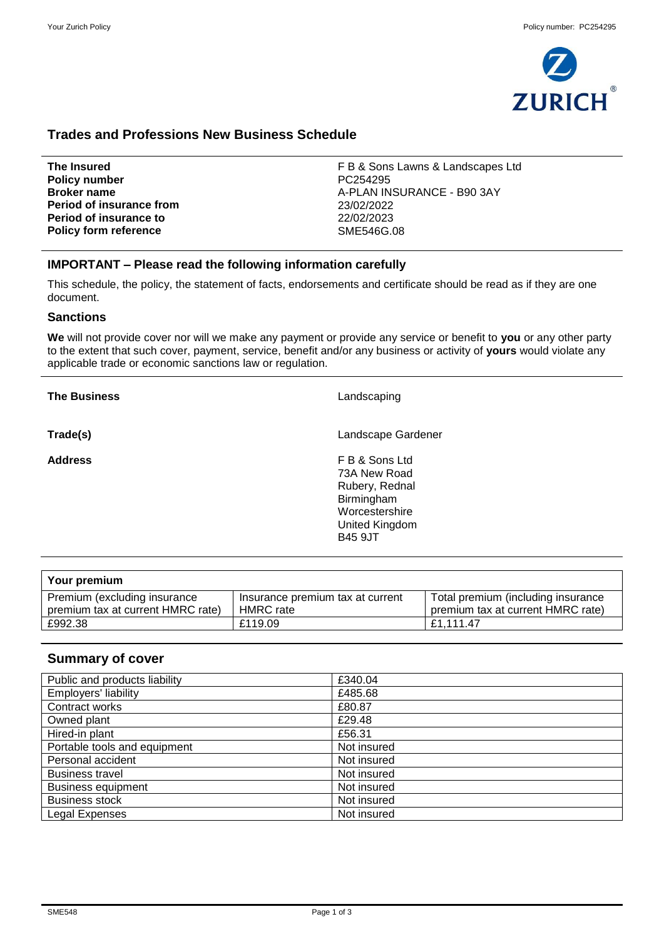

# **Trades and Professions New Business Schedule**

| The Insured                   | F B & Sons Lawns & Landscapes Ltd |
|-------------------------------|-----------------------------------|
| <b>Policy number</b>          | PC254295                          |
| <b>Broker name</b>            | A-PLAN INSURANCE - B90 3AY        |
| Period of insurance from      | 23/02/2022                        |
| <b>Period of insurance to</b> | 22/02/2023                        |
| <b>Policy form reference</b>  | SME546G.08                        |
|                               |                                   |

# **IMPORTANT – Please read the following information carefully**

This schedule, the policy, the statement of facts, endorsements and certificate should be read as if they are one document.

# **Sanctions**

**We** will not provide cover nor will we make any payment or provide any service or benefit to **you** or any other party to the extent that such cover, payment, service, benefit and/or any business or activity of **yours** would violate any applicable trade or economic sanctions law or regulation.

| <b>The Business</b> | Landscaping                                                                                                          |
|---------------------|----------------------------------------------------------------------------------------------------------------------|
| Trade(s)            | Landscape Gardener                                                                                                   |
| <b>Address</b>      | F B & Sons Ltd<br>73A New Road<br>Rubery, Rednal<br>Birmingham<br>Worcestershire<br>United Kingdom<br><b>B45 9JT</b> |

| Your premium                                                      |                                               |                                                                         |
|-------------------------------------------------------------------|-----------------------------------------------|-------------------------------------------------------------------------|
| Premium (excluding insurance<br>premium tax at current HMRC rate) | Insurance premium tax at current<br>HMRC rate | Total premium (including insurance<br>premium tax at current HMRC rate) |
| £992.38                                                           | £119.09                                       | £1.111.47                                                               |

# **Summary of cover**

| Public and products liability | £340.04     |
|-------------------------------|-------------|
| <b>Employers' liability</b>   | £485.68     |
| Contract works                | £80.87      |
| Owned plant                   | £29.48      |
| Hired-in plant                | £56.31      |
| Portable tools and equipment  | Not insured |
| Personal accident             | Not insured |
| <b>Business travel</b>        | Not insured |
| <b>Business equipment</b>     | Not insured |
| <b>Business stock</b>         | Not insured |
| <b>Legal Expenses</b>         | Not insured |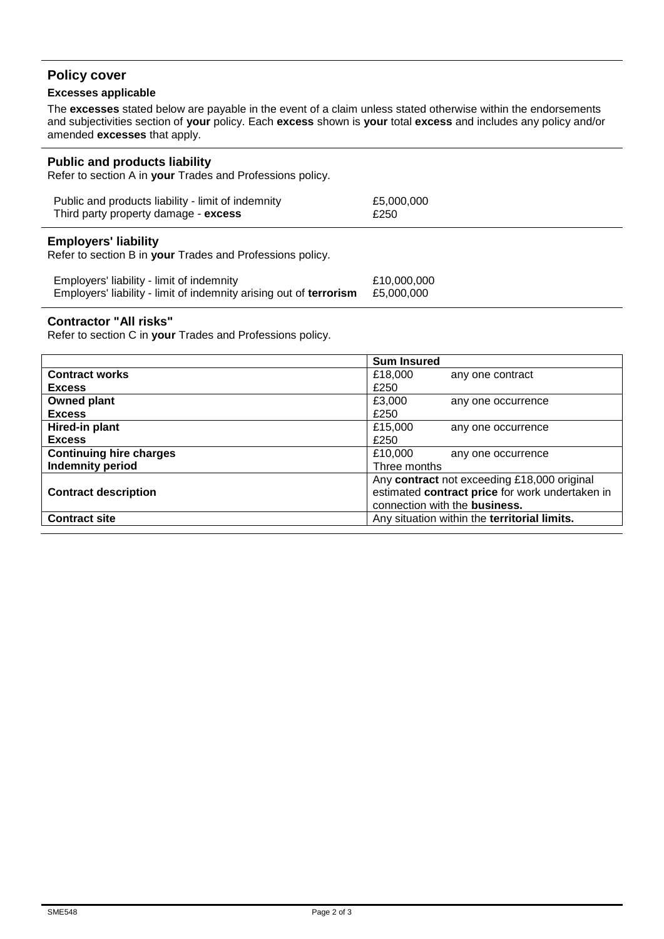# **Policy cover**

# **Excesses applicable**

The **excesses** stated below are payable in the event of a claim unless stated otherwise within the endorsements and subjectivities section of **your** policy. Each **excess** shown is **your** total **excess** and includes any policy and/or amended **excesses** that apply.

## **Public and products liability**

Refer to section A in **your** Trades and Professions policy.

| Public and products liability - limit of indemnity | £5,000,000 |
|----------------------------------------------------|------------|
| Third party property damage - excess               | £250       |

## **Employers' liability**

Refer to section B in **your** Trades and Professions policy.

| Employers' liability - limit of indemnity                          | £10,000,000 |
|--------------------------------------------------------------------|-------------|
| Employers' liability - limit of indemnity arising out of terrorism | £5,000,000  |

## **Contractor "All risks"**

Refer to section C in **your** Trades and Professions policy.

|                                | <b>Sum Insured</b>                              |
|--------------------------------|-------------------------------------------------|
| <b>Contract works</b>          | £18,000<br>any one contract                     |
| <b>Excess</b>                  | £250                                            |
| <b>Owned plant</b>             | £3,000<br>any one occurrence                    |
| <b>Excess</b>                  | £250                                            |
| Hired-in plant                 | £15,000<br>any one occurrence                   |
| <b>Excess</b>                  | £250                                            |
| <b>Continuing hire charges</b> | £10,000<br>any one occurrence                   |
| <b>Indemnity period</b>        | Three months                                    |
|                                | Any contract not exceeding £18,000 original     |
| <b>Contract description</b>    | estimated contract price for work undertaken in |
|                                | connection with the business.                   |
| <b>Contract site</b>           | Any situation within the territorial limits.    |